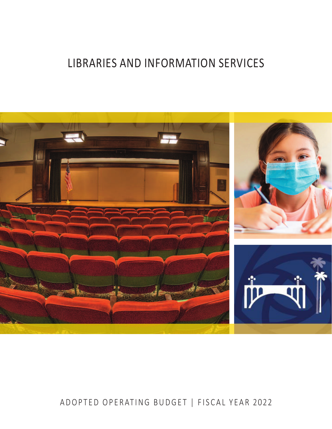# LIBRARIES AND INFORMATION SERVICES



# ADOPTED OPERATING BUDGET | FISCAL YEAR 2022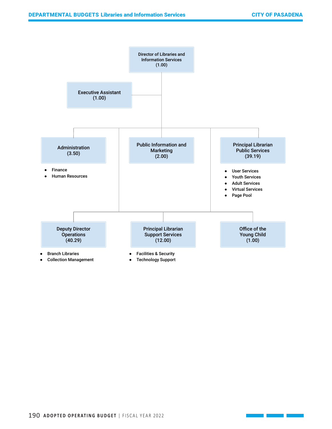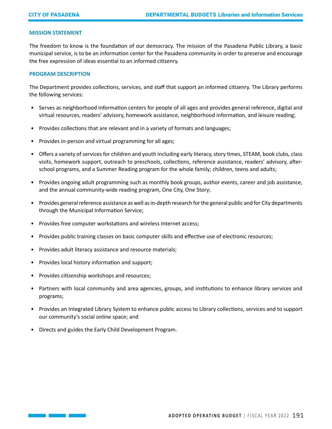# **MISSION STATEMENT**

The freedom to know is the foundation of our democracy. The mission of the Pasadena Public Library, a basic municipal service, is to be an information center for the Pasadena community in order to preserve and encourage the free expression of ideas essential to an informed citizenry.

#### **PROGRAM DESCRIPTION**

The Department provides collections, services, and staff that support an informed citizenry. The Library performs the following services:

- Serves as neighborhood information centers for people of all ages and provides general reference, digital and virtual resources, readers' advisory, homework assistance, neighborhood information, and leisure reading;
- Provides collections that are relevant and in a variety of formats and languages;
- Provides in-person and virtual programming for all ages;
- Offers a variety of services for children and youth including early literacy, story times, STEAM, book clubs, class visits, homework support, outreach to preschools, collections, reference assistance, readers' advisory, afterschool programs, and a Summer Reading program for the whole family; children, teens and adults;
- Provides ongoing adult programming such as monthly book groups, author events, career and job assistance, and the annual community-wide reading program, One City, One Story;
- Provides general reference assistance as well as in-depth research for the general public and for City departments through the Municipal Information Service;
- Provides free computer workstations and wireless Internet access;
- Provides public training classes on basic computer skills and effective use of electronic resources;
- Provides adult literacy assistance and resource materials;
- Provides local history information and support;
- Provides citizenship workshops and resources;
- Partners with local community and area agencies, groups, and institutions to enhance library services and programs;
- Provides an Integrated Library System to enhance public access to Library collections, services and to support our community's social online space; and
- Directs and guides the Early Child Development Program.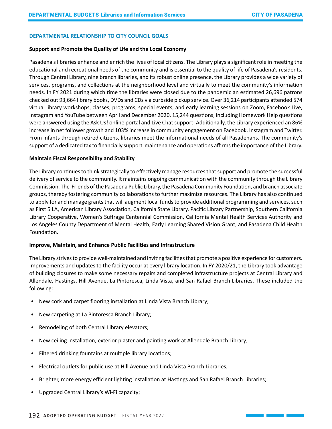# **DEPARTMENTAL RELATIONSHIP TO CITY COUNCIL GOALS**

#### **Support and Promote the Quality of Life and the Local Economy**

Pasadena's libraries enhance and enrich the lives of local citizens. The Library plays a significant role in meeting the educational and recreational needs of the community and is essential to the quality of life of Pasadena's residents. Through Central Library, nine branch libraries, and its robust online presence, the Library provides a wide variety of services, programs, and collections at the neighborhood level and virtually to meet the community's information needs. In FY 2021 during which time the libraries were closed due to the pandemic an estimated 26,696 patrons checked out 93,664 library books, DVDs and CDs via curbside pickup service. Over 36,214 participants attended 574 virtual library workshops, classes, programs, special events, and early learning sessions on Zoom, Facebook Live, Instagram and YouTube between April and December 2020. 15,244 questions, including Homework Help questions were answered using the Ask Us! online portal and Live Chat support. Additionally, the Library experienced an 86% increase in net follower growth and 103% increase in community engagement on Facebook, Instagram and Twitter. From infants through retired citizens, libraries meet the informational needs of all Pasadenans. The community's support of a dedicated tax to financially support maintenance and operations affirms the importance of the Library.

# **Maintain Fiscal Responsibility and Stability**

The Library continues to think strategically to effectively manage resources that support and promote the successful delivery of service to the community. It maintains ongoing communication with the community through the Library Commission, The Friends of the Pasadena Public Library, the Pasadena Community Foundation, and branch associate groups, thereby fostering community collaborations to further maximize resources. The Library has also continued to apply for and manage grants that will augment local funds to provide additional programming and services, such as First 5 LA, American Library Association, California State Library, Pacific Library Partnership, Southern California Library Cooperative, Women's Suffrage Centennial Commission, California Mental Health Services Authority and Los Angeles County Department of Mental Health, Early Learning Shared Vision Grant, and Pasadena Child Health Foundation.

# **Improve, Maintain, and Enhance Public Facilities and Infrastructure**

The Library strives to provide well-maintained and inviting facilities that promote a positive experience for customers. Improvements and updates to the facility occur at every library location. In FY 2020/21, the Library took advantage of building closures to make some necessary repairs and completed infrastructure projects at Central Library and Allendale, Hastings, Hill Avenue, La Pintoresca, Linda Vista, and San Rafael Branch Libraries. These included the following:

- New cork and carpet flooring installation at Linda Vista Branch Library;
- New carpeting at La Pintoresca Branch Library;
- Remodeling of both Central Library elevators;
- New ceiling installation, exterior plaster and painting work at Allendale Branch Library;
- Filtered drinking fountains at multiple library locations;
- Electrical outlets for public use at Hill Avenue and Linda Vista Branch Libraries;
- Brighter, more energy efficient lighting installation at Hastings and San Rafael Branch Libraries;
- Upgraded Central Library's Wi-Fi capacity;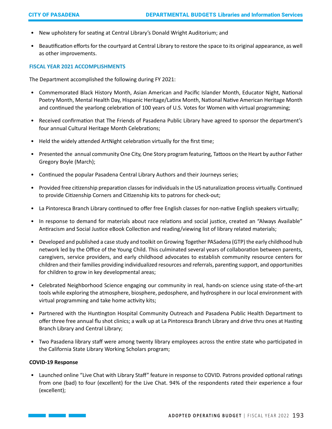- New upholstery for seating at Central Library's Donald Wright Auditorium; and
- Beautification efforts for the courtyard at Central Library to restore the space to its original appearance, as well as other improvements.

#### **FISCAL YEAR 2021 ACCOMPLISHMENTS**

The Department accomplished the following during FY 2021:

- Commemorated Black History Month, Asian American and Pacific Islander Month, Educator Night, National Poetry Month, Mental Health Day, Hispanic Heritage/Latinx Month, National Native American Heritage Month and continued the yearlong celebration of 100 years of U.S. Votes for Women with virtual programming;
- Received confirmation that The Friends of Pasadena Public Library have agreed to sponsor the department's four annual Cultural Heritage Month Celebrations;
- Held the widely attended ArtNight celebration virtually for the first time;
- Presented the annual community One City, One Story program featuring, Tattoos on the Heart by author Father Gregory Boyle (March);
- Continued the popular Pasadena Central Library Authors and their Journeys series;
- Provided free citizenship preparation classes for individuals in the US naturalization process virtually. Continued to provide Citizenship Corners and Citizenship kits to patrons for check-out;
- La Pintoresca Branch Library continued to offer free English classes for non-native English speakers virtually;
- In response to demand for materials about race relations and social justice, created an "Always Available" Antiracism and Social Justice eBook Collection and reading/viewing list of library related materials;
- Developed and published a case study and toolkit on Growing Together PASadena (GTP) the early childhood hub network led by the Office of the Young Child. This culminated several years of collaboration between parents, caregivers, service providers, and early childhood advocates to establish community resource centers for children and their families providing individualized resources and referrals, parenting support, and opportunities for children to grow in key developmental areas;
- Celebrated Neighborhood Science engaging our community in real, hands-on science using state-of-the-art tools while exploring the atmosphere, biosphere, pedosphere, and hydrosphere in our local environment with virtual programming and take home activity kits;
- Partnered with the Huntington Hospital Community Outreach and Pasadena Public Health Department to offer three free annual flu shot clinics; a walk up at La Pintoresca Branch Library and drive thru ones at Hasting Branch Library and Central Library;
- Two Pasadena library staff were among twenty library employees across the entire state who participated in the California State Library Working Scholars program;

#### **COVID-19 Response**

• Launched online "Live Chat with Library Staff" feature in response to COVID. Patrons provided optional ratings from one (bad) to four (excellent) for the Live Chat. 94% of the respondents rated their experience a four (excellent);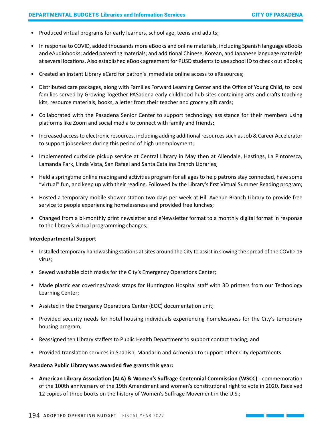- Produced virtual programs for early learners, school age, teens and adults;
- In response to COVID, added thousands more eBooks and online materials, including Spanish language eBooks and eAudiobooks; added parenting materials; and additional Chinese, Korean, and Japanese language materials at several locations. Also established eBook agreement for PUSD students to use school ID to check out eBooks;
- Created an instant Library eCard for patron's immediate online access to eResources;
- Distributed care packages, along with Families Forward Learning Center and the Office of Young Child, to local families served by Growing Together PASadena early childhood hub sites containing arts and crafts teaching kits, resource materials, books, a letter from their teacher and grocery gift cards;
- Collaborated with the Pasadena Senior Center to support technology assistance for their members using platforms like Zoom and social media to connect with family and friends;
- Increased access to electronic resources, including adding additional resources such as Job & Career Accelerator to support jobseekers during this period of high unemployment;
- Implemented curbside pickup service at Central Library in May then at Allendale, Hastings, La Pintoresca, Lamanda Park, Linda Vista, San Rafael and Santa Catalina Branch Libraries;
- Held a springtime online reading and activities program for all ages to help patrons stay connected, have some "virtual" fun, and keep up with their reading. Followed by the Library's first Virtual Summer Reading program;
- Hosted a temporary mobile shower station two days per week at Hill Avenue Branch Library to provide free service to people experiencing homelessness and provided free lunches;
- Changed from a bi-monthly print newsletter and eNewsletter format to a monthly digital format in response to the library's virtual programming changes;

# **Interdepartmental Support**

- Installed temporary handwashing stations at sites around the City to assist in slowing the spread of the COVID-19 virus;
- Sewed washable cloth masks for the City's Emergency Operations Center;
- Made plastic ear coverings/mask straps for Huntington Hospital staff with 3D printers from our Technology Learning Center;
- Assisted in the Emergency Operations Center (EOC) documentation unit;
- Provided security needs for hotel housing individuals experiencing homelessness for the City's temporary housing program;
- Reassigned ten Library staffers to Public Health Department to support contact tracing; and
- Provided translation services in Spanish, Mandarin and Armenian to support other City departments.

# **Pasadena Public Library was awarded five grants this year:**

• **American Library Association (ALA) & Women's Suffrage Centennial Commission (WSCC)** - commemoration of the 100th anniversary of the 19th Amendment and women's constitutional right to vote in 2020. Received 12 copies of three books on the history of Women's Suffrage Movement in the U.S.;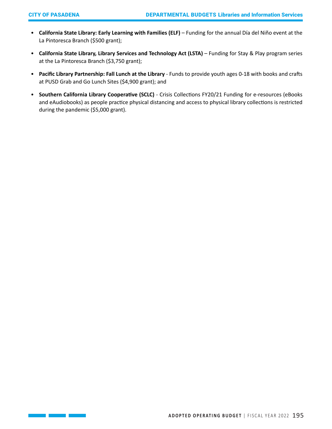H

**Service State** 

- **California State Library: Early Learning with Families (ELF)** Funding for the annual Día del Niño event at the La Pintoresca Branch (\$500 grant);
- **California State Library, Library Services and Technology Act (LSTA)** Funding for Stay & Play program series at the La Pintoresca Branch (\$3,750 grant);
- **Pacific Library Partnership: Fall Lunch at the Library** Funds to provide youth ages 0-18 with books and crafts at PUSD Grab and Go Lunch Sites (\$4,900 grant); and
- **Southern California Library Cooperative (SCLC)** Crisis Collections FY20/21 Funding for e-resources (eBooks and eAudiobooks) as people practice physical distancing and access to physical library collections is restricted during the pandemic (\$5,000 grant).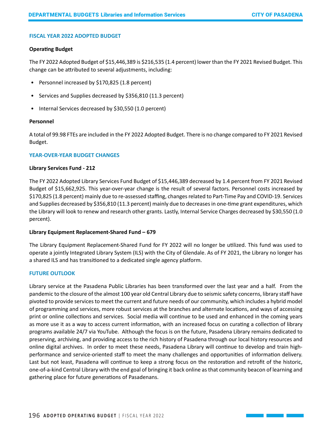# **FISCAL YEAR 2022 ADOPTED BUDGET**

#### **Operating Budget**

The FY 2022 Adopted Budget of \$15,446,389 is \$216,535 (1.4 percent) lower than the FY 2021 Revised Budget. This change can be attributed to several adjustments, including:

- Personnel increased by \$170,825 (1.8 percent)
- Services and Supplies decreased by \$356,810 (11.3 percent)
- Internal Services decreased by \$30,550 (1.0 percent)

#### **Personnel**

A total of 99.98 FTEs are included in the FY 2022 Adopted Budget. There is no change compared to FY 2021 Revised Budget.

#### **YEAR-OVER-YEAR BUDGET CHANGES**

#### **Library Services Fund - 212**

The FY 2022 Adopted Library Services Fund Budget of \$15,446,389 decreased by 1.4 percent from FY 2021 Revised Budget of \$15,662,925. This year-over-year change is the result of several factors. Personnel costs increased by \$170,825 (1.8 percent) mainly due to re-assessed staffing, changes related to Part-Time Pay and COVID-19. Services and Supplies decreased by \$356,810 (11.3 percent) mainly due to decreases in one-time grant expenditures, which the Library will look to renew and research other grants. Lastly, Internal Service Charges decreased by \$30,550 (1.0 percent).

# **Library Equipment Replacement-Shared Fund – 679**

The Library Equipment Replacement-Shared Fund for FY 2022 will no longer be utilized. This fund was used to operate a jointly Integrated Library System (ILS) with the City of Glendale. As of FY 2021, the Library no longer has a shared ILS and has transitioned to a dedicated single agency platform.

# **FUTURE OUTLOOK**

Library service at the Pasadena Public Libraries has been transformed over the last year and a half. From the pandemic to the closure of the almost 100 year old Central Library due to seismic safety concerns, library staff have pivoted to provide services to meet the current and future needs of our community, which includes a hybrid model of programming and services, more robust services at the branches and alternate locations, and ways of accessing print or online collections and services. Social media will continue to be used and enhanced in the coming years as more use it as a way to access current information, with an increased focus on curating a collection of library programs available 24/7 via YouTube. Although the focus is on the future, Pasadena Library remains dedicated to preserving, archiving, and providing access to the rich history of Pasadena through our local history resources and online digital archives. In order to meet these needs, Pasadena Library will continue to develop and train highperformance and service-oriented staff to meet the many challenges and opportunities of information delivery. Last but not least, Pasadena will continue to keep a strong focus on the restoration and retrofit of the historic, one-of-a-kind Central Library with the end goal of bringing it back online as that community beacon of learning and gathering place for future generations of Pasadenans.